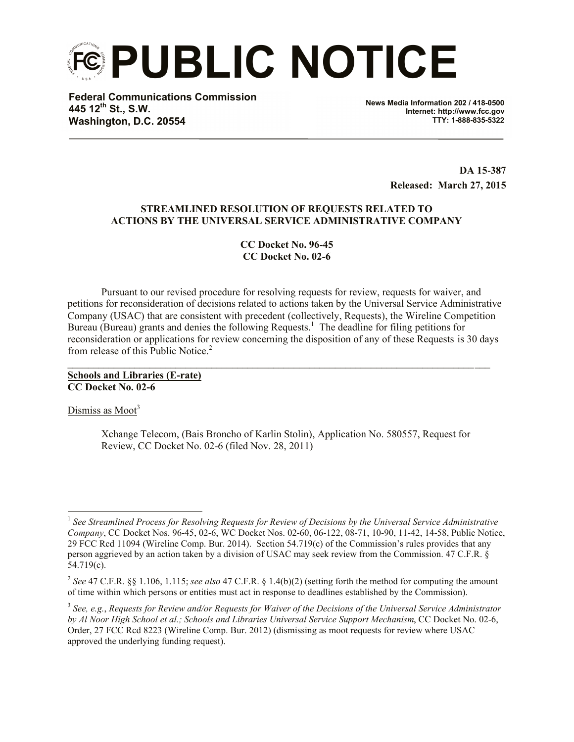**PUBLIC NOTICE**

**Federal Communications Commission 445 12th St., S.W. Washington, D.C. 20554**

**News Media Information 202 / 418-0500 Internet: http://www.fcc.gov TTY: 1-888-835-5322**

> **DA 15**-**387 Released: March 27, 2015**

#### **STREAMLINED RESOLUTION OF REQUESTS RELATED TO ACTIONS BY THE UNIVERSAL SERVICE ADMINISTRATIVE COMPANY**

**CC Docket No. 96-45 CC Docket No. 02-6**

Pursuant to our revised procedure for resolving requests for review, requests for waiver, and petitions for reconsideration of decisions related to actions taken by the Universal Service Administrative Company (USAC) that are consistent with precedent (collectively, Requests), the Wireline Competition Bureau (Bureau) grants and denies the following Requests.<sup>1</sup> The deadline for filing petitions for reconsideration or applications for review concerning the disposition of any of these Requests is 30 days from release of this Public Notice.<sup>2</sup>

 $\mathcal{L}_\mathcal{L} = \{ \mathcal{L}_\mathcal{L} = \{ \mathcal{L}_\mathcal{L} = \{ \mathcal{L}_\mathcal{L} = \{ \mathcal{L}_\mathcal{L} = \{ \mathcal{L}_\mathcal{L} = \{ \mathcal{L}_\mathcal{L} = \{ \mathcal{L}_\mathcal{L} = \{ \mathcal{L}_\mathcal{L} = \{ \mathcal{L}_\mathcal{L} = \{ \mathcal{L}_\mathcal{L} = \{ \mathcal{L}_\mathcal{L} = \{ \mathcal{L}_\mathcal{L} = \{ \mathcal{L}_\mathcal{L} = \{ \mathcal{L}_\mathcal{$ 

**Schools and Libraries (E-rate) CC Docket No. 02-6**

Dismiss as  $Moot<sup>3</sup>$ 

Xchange Telecom, (Bais Broncho of Karlin Stolin), Application No. 580557, Request for Review, CC Docket No. 02-6 (filed Nov. 28, 2011)

 1 *See Streamlined Process for Resolving Requests for Review of Decisions by the Universal Service Administrative Company*, CC Docket Nos. 96-45, 02-6, WC Docket Nos. 02-60, 06-122, 08-71, 10-90, 11-42, 14-58, Public Notice, 29 FCC Rcd 11094 (Wireline Comp. Bur. 2014). Section 54.719(c) of the Commission's rules provides that any person aggrieved by an action taken by a division of USAC may seek review from the Commission. 47 C.F.R. § 54.719(c).

<sup>2</sup> *See* 47 C.F.R. §§ 1.106, 1.115; *see also* 47 C.F.R. § 1.4(b)(2) (setting forth the method for computing the amount of time within which persons or entities must act in response to deadlines established by the Commission).

<sup>3</sup> *See, e.g.*, *Requests for Review and/or Requests for Waiver of the Decisions of the Universal Service Administrator by Al Noor High School et al.; Schools and Libraries Universal Service Support Mechanism*, CC Docket No. 02-6, Order, 27 FCC Rcd 8223 (Wireline Comp. Bur. 2012) (dismissing as moot requests for review where USAC approved the underlying funding request).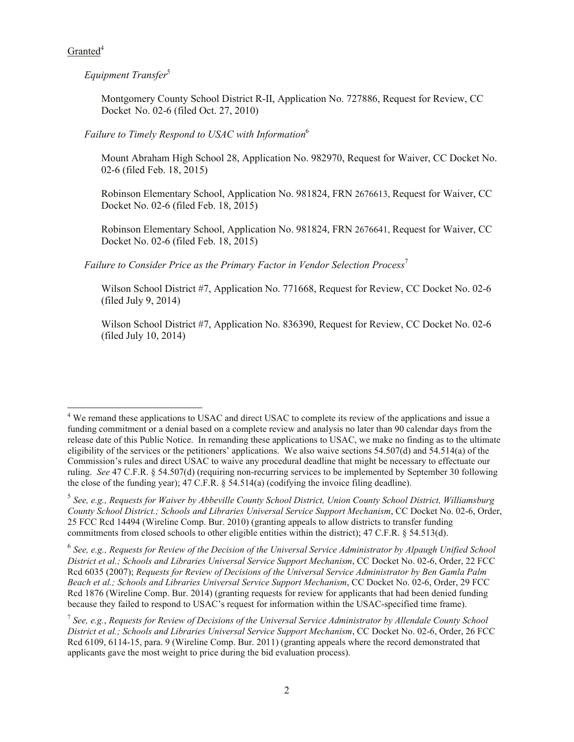$G$ ranted<sup>4</sup>

*Equipment Transfer*<sup>5</sup>

Montgomery County School District R-II, Application No. 727886, Request for Review, CC Docket No. 02-6 (filed Oct. 27, 2010)

## *Failure to Timely Respond to USAC with Information*<sup>6</sup>

Mount Abraham High School 28, Application No. 982970, Request for Waiver, CC Docket No. 02-6 (filed Feb. 18, 2015)

Robinson Elementary School, Application No. 981824, FRN 2676613, Request for Waiver, CC Docket No. 02-6 (filed Feb. 18, 2015)

Robinson Elementary School, Application No. 981824, FRN 2676641, Request for Waiver, CC Docket No. 02-6 (filed Feb. 18, 2015)

*Failure to Consider Price as the Primary Factor in Vendor Selection Process*<sup>7</sup>

Wilson School District #7, Application No. 771668, Request for Review, CC Docket No. 02-6 (filed July 9, 2014)

Wilson School District #7, Application No. 836390, Request for Review, CC Docket No. 02-6 (filed July 10, 2014)

l <sup>4</sup> We remand these applications to USAC and direct USAC to complete its review of the applications and issue a funding commitment or a denial based on a complete review and analysis no later than 90 calendar days from the release date of this Public Notice. In remanding these applications to USAC, we make no finding as to the ultimate eligibility of the services or the petitioners' applications. We also waive sections 54.507(d) and 54.514(a) of the Commission's rules and direct USAC to waive any procedural deadline that might be necessary to effectuate our ruling. *See* 47 C.F.R. § 54.507(d) (requiring non-recurring services to be implemented by September 30 following the close of the funding year); 47 C.F.R. § 54.514(a) (codifying the invoice filing deadline).

<sup>5</sup> *See, e.g., Requests for Waiver by Abbeville County School District, Union County School District, Williamsburg County School District.; Schools and Libraries Universal Service Support Mechanism*, CC Docket No. 02-6, Order, 25 FCC Rcd 14494 (Wireline Comp. Bur. 2010) (granting appeals to allow districts to transfer funding commitments from closed schools to other eligible entities within the district); 47 C.F.R. § 54.513(d).

<sup>6</sup> *See, e.g., Requests for Review of the Decision of the Universal Service Administrator by Alpaugh Unified School District et al.; Schools and Libraries Universal Service Support Mechanism*, CC Docket No. 02-6, Order, 22 FCC Rcd 6035 (2007); *Requests for Review of Decisions of the Universal Service Administrator by Ben Gamla Palm Beach et al.; Schools and Libraries Universal Service Support Mechanism*, CC Docket No. 02-6, Order, 29 FCC Rcd 1876 (Wireline Comp. Bur. 2014) (granting requests for review for applicants that had been denied funding because they failed to respond to USAC's request for information within the USAC-specified time frame).

<sup>7</sup> *See, e.g.*, *Requests for Review of Decisions of the Universal Service Administrator by Allendale County School District et al.; Schools and Libraries Universal Service Support Mechanism*, CC Docket No. 02-6, Order, 26 FCC Rcd 6109, 6114-15, para. 9 (Wireline Comp. Bur. 2011) (granting appeals where the record demonstrated that applicants gave the most weight to price during the bid evaluation process).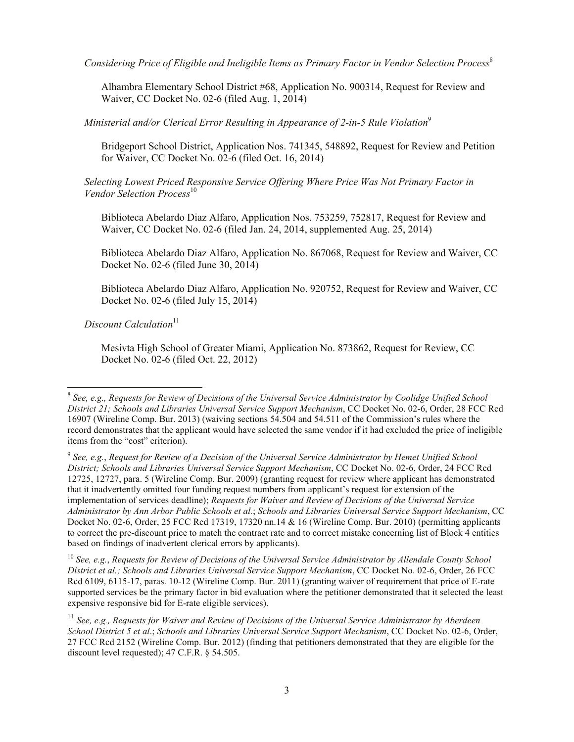*Considering Price of Eligible and Ineligible Items as Primary Factor in Vendor Selection Process*<sup>8</sup>

Alhambra Elementary School District #68, Application No. 900314, Request for Review and Waiver, CC Docket No. 02-6 (filed Aug. 1, 2014)

*Ministerial and/or Clerical Error Resulting in Appearance of 2-in-5 Rule Violation*<sup>9</sup>

Bridgeport School District, Application Nos. 741345, 548892, Request for Review and Petition for Waiver, CC Docket No. 02-6 (filed Oct. 16, 2014)

*Selecting Lowest Priced Responsive Service Offering Where Price Was Not Primary Factor in Vendor Selection Process* 10

Biblioteca Abelardo Diaz Alfaro, Application Nos. 753259, 752817, Request for Review and Waiver, CC Docket No. 02-6 (filed Jan. 24, 2014, supplemented Aug. 25, 2014)

Biblioteca Abelardo Diaz Alfaro, Application No. 867068, Request for Review and Waiver, CC Docket No. 02-6 (filed June 30, 2014)

Biblioteca Abelardo Diaz Alfaro, Application No. 920752, Request for Review and Waiver, CC Docket No. 02-6 (filed July 15, 2014)

*Discount Calculation*<sup>11</sup>

Mesivta High School of Greater Miami, Application No. 873862, Request for Review, CC Docket No. 02-6 (filed Oct. 22, 2012)

<sup>10</sup> *See, e.g.*, *Requests for Review of Decisions of the Universal Service Administrator by Allendale County School District et al.; Schools and Libraries Universal Service Support Mechanism*, CC Docket No. 02-6, Order, 26 FCC Rcd 6109, 6115-17, paras. 10-12 (Wireline Comp. Bur. 2011) (granting waiver of requirement that price of E-rate supported services be the primary factor in bid evaluation where the petitioner demonstrated that it selected the least expensive responsive bid for E-rate eligible services).

 8 *See, e.g., Requests for Review of Decisions of the Universal Service Administrator by Coolidge Unified School District 21; Schools and Libraries Universal Service Support Mechanism*, CC Docket No. 02-6, Order, 28 FCC Rcd 16907 (Wireline Comp. Bur. 2013) (waiving sections 54.504 and 54.511 of the Commission's rules where the record demonstrates that the applicant would have selected the same vendor if it had excluded the price of ineligible items from the "cost" criterion).

<sup>9</sup> *See, e.g.*, *Request for Review of a Decision of the Universal Service Administrator by Hemet Unified School District; Schools and Libraries Universal Service Support Mechanism*, CC Docket No. 02-6, Order, 24 FCC Rcd 12725, 12727, para. 5 (Wireline Comp. Bur. 2009) (granting request for review where applicant has demonstrated that it inadvertently omitted four funding request numbers from applicant's request for extension of the implementation of services deadline); *Requests for Waiver and Review of Decisions of the Universal Service Administrator by Ann Arbor Public Schools et al.*; *Schools and Libraries Universal Service Support Mechanism*, CC Docket No. 02-6, Order, 25 FCC Rcd 17319, 17320 nn.14 & 16 (Wireline Comp. Bur. 2010) (permitting applicants to correct the pre-discount price to match the contract rate and to correct mistake concerning list of Block 4 entities based on findings of inadvertent clerical errors by applicants).

<sup>11</sup> *See, e.g., Requests for Waiver and Review of Decisions of the Universal Service Administrator by Aberdeen School District 5 et al*.; *Schools and Libraries Universal Service Support Mechanism*, CC Docket No. 02-6, Order, 27 FCC Rcd 2152 (Wireline Comp. Bur. 2012) (finding that petitioners demonstrated that they are eligible for the discount level requested); 47 C.F.R. § 54.505.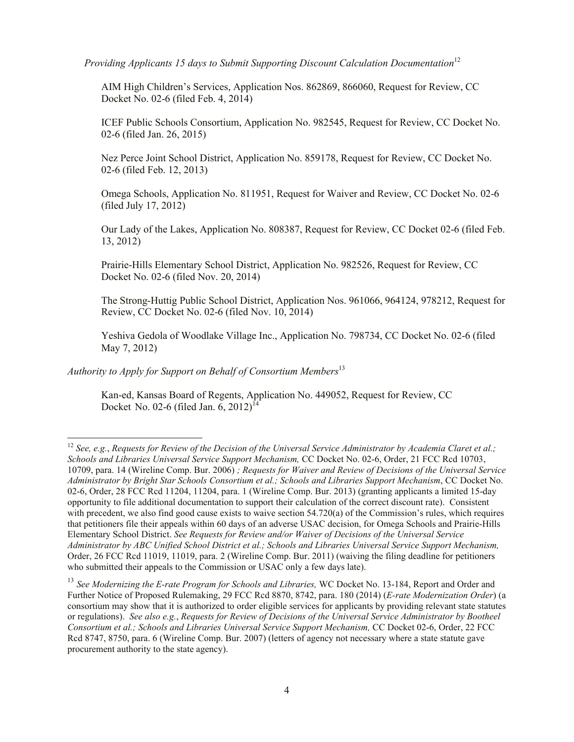*Providing Applicants 15 days to Submit Supporting Discount Calculation Documentation*<sup>12</sup>

AIM High Children's Services, Application Nos. 862869, 866060, Request for Review, CC Docket No. 02-6 (filed Feb. 4, 2014)

ICEF Public Schools Consortium, Application No. 982545, Request for Review, CC Docket No. 02-6 (filed Jan. 26, 2015)

Nez Perce Joint School District, Application No. 859178, Request for Review, CC Docket No. 02-6 (filed Feb. 12, 2013)

Omega Schools, Application No. 811951, Request for Waiver and Review, CC Docket No. 02-6 (filed July 17, 2012)

Our Lady of the Lakes, Application No. 808387, Request for Review, CC Docket 02-6 (filed Feb. 13, 2012)

Prairie-Hills Elementary School District, Application No. 982526, Request for Review, CC Docket No. 02-6 (filed Nov. 20, 2014)

The Strong-Huttig Public School District, Application Nos. 961066, 964124, 978212, Request for Review, CC Docket No. 02-6 (filed Nov. 10, 2014)

Yeshiva Gedola of Woodlake Village Inc., Application No. 798734, CC Docket No. 02-6 (filed May 7, 2012)

*Authority to Apply for Support on Behalf of Consortium Members*<sup>13</sup>

l

Kan-ed, Kansas Board of Regents, Application No. 449052, Request for Review, CC Docket No. 02-6 (filed Jan. 6, 2012)<sup>1</sup>

<sup>12</sup> *See, e.g.*, *Requests for Review of the Decision of the Universal Service Administrator by Academia Claret et al.; Schools and Libraries Universal Service Support Mechanism,* CC Docket No. 02-6, Order, 21 FCC Rcd 10703, 10709, para. 14 (Wireline Comp. Bur. 2006) *; Requests for Waiver and Review of Decisions of the Universal Service Administrator by Bright Star Schools Consortium et al.; Schools and Libraries Support Mechanism*, CC Docket No. 02-6, Order, 28 FCC Rcd 11204, 11204, para. 1 (Wireline Comp. Bur. 2013) (granting applicants a limited 15-day opportunity to file additional documentation to support their calculation of the correct discount rate). Consistent with precedent, we also find good cause exists to waive section 54.720(a) of the Commission's rules, which requires that petitioners file their appeals within 60 days of an adverse USAC decision, for Omega Schools and Prairie-Hills Elementary School District. *See Requests for Review and/or Waiver of Decisions of the Universal Service Administrator by ABC Unified School District et al.; Schools and Libraries Universal Service Support Mechanism,* Order, 26 FCC Rcd 11019, 11019, para. 2 (Wireline Comp. Bur. 2011) (waiving the filing deadline for petitioners who submitted their appeals to the Commission or USAC only a few days late).

<sup>13</sup> *See Modernizing the E-rate Program for Schools and Libraries,* WC Docket No. 13-184, Report and Order and Further Notice of Proposed Rulemaking, 29 FCC Rcd 8870, 8742, para. 180 (2014) (*E-rate Modernization Order*) (a consortium may show that it is authorized to order eligible services for applicants by providing relevant state statutes or regulations). *See also e.g.*, *Requests for Review of Decisions of the Universal Service Administrator by Bootheel Consortium et al.; Schools and Libraries Universal Service Support Mechanism,* CC Docket 02-6, Order, 22 FCC Rcd 8747, 8750, para. 6 (Wireline Comp. Bur. 2007) (letters of agency not necessary where a state statute gave procurement authority to the state agency).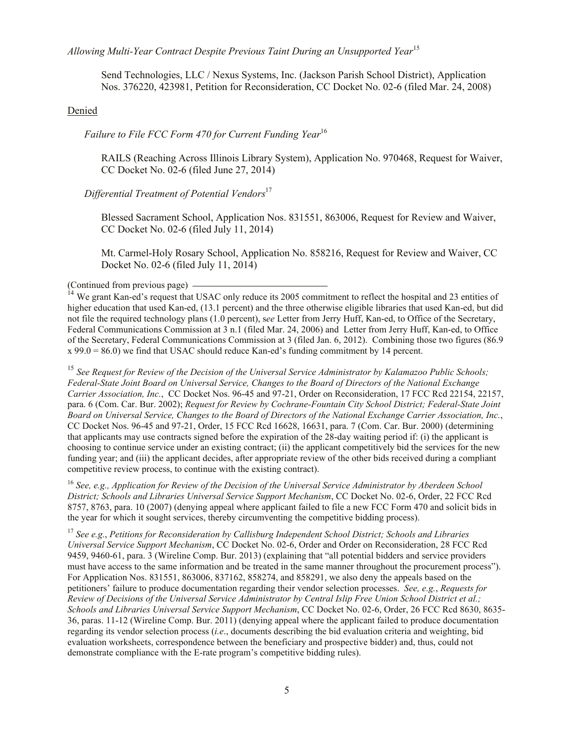*Allowing Multi-Year Contract Despite Previous Taint During an Unsupported Year*<sup>15</sup>

Send Technologies, LLC / Nexus Systems, Inc. (Jackson Parish School District), Application Nos. 376220, 423981, Petition for Reconsideration, CC Docket No. 02-6 (filed Mar. 24, 2008)

#### Denied

*Failure to File FCC Form 470 for Current Funding Year*<sup>16</sup>

RAILS (Reaching Across Illinois Library System), Application No. 970468, Request for Waiver, CC Docket No. 02-6 (filed June 27, 2014)

#### *Differential Treatment of Potential Vendors*<sup>17</sup>

Blessed Sacrament School, Application Nos. 831551, 863006, Request for Review and Waiver, CC Docket No. 02-6 (filed July 11, 2014)

Mt. Carmel-Holy Rosary School, Application No. 858216, Request for Review and Waiver, CC Docket No. 02-6 (filed July 11, 2014)

(Continued from previous page)

<sup>14</sup> We grant Kan-ed's request that USAC only reduce its 2005 commitment to reflect the hospital and 23 entities of higher education that used Kan-ed, (13.1 percent) and the three otherwise eligible libraries that used Kan-ed, but did not file the required technology plans (1.0 percent), s*ee* Letter from Jerry Huff, Kan-ed, to Office of the Secretary, Federal Communications Commission at 3 n.1 (filed Mar. 24, 2006) and Letter from Jerry Huff, Kan-ed, to Office of the Secretary, Federal Communications Commission at 3 (filed Jan. 6, 2012). Combining those two figures (86.9  $x$  99.0 = 86.0) we find that USAC should reduce Kan-ed's funding commitment by 14 percent.

<sup>15</sup> *See Request for Review of the Decision of the Universal Service Administrator by Kalamazoo Public Schools; Federal-State Joint Board on Universal Service, Changes to the Board of Directors of the National Exchange Carrier Association, Inc.*, CC Docket Nos. 96-45 and 97-21, Order on Reconsideration, 17 FCC Rcd 22154, 22157, para. 6 (Com. Car. Bur. 2002); *Request for Review by Cochrane-Fountain City School District; Federal-State Joint Board on Universal Service, Changes to the Board of Directors of the National Exchange Carrier Association, Inc.*, CC Docket Nos. 96-45 and 97-21, Order, 15 FCC Rcd 16628, 16631, para. 7 (Com. Car. Bur. 2000) (determining that applicants may use contracts signed before the expiration of the 28-day waiting period if: (i) the applicant is choosing to continue service under an existing contract; (ii) the applicant competitively bid the services for the new funding year; and (iii) the applicant decides, after appropriate review of the other bids received during a compliant competitive review process, to continue with the existing contract).

<sup>16</sup> *See, e.g., Application for Review of the Decision of the Universal Service Administrator by Aberdeen School District; Schools and Libraries Universal Service Support Mechanism*, CC Docket No. 02-6, Order, 22 FCC Rcd 8757, 8763, para. 10 (2007) (denying appeal where applicant failed to file a new FCC Form 470 and solicit bids in the year for which it sought services, thereby circumventing the competitive bidding process).

<sup>17</sup> *See e.g.*, *Petitions for Reconsideration by Callisburg Independent School District; Schools and Libraries Universal Service Support Mechanism*, CC Docket No. 02-6, Order and Order on Reconsideration, 28 FCC Rcd 9459, 9460-61, para. 3 (Wireline Comp. Bur. 2013) (explaining that "all potential bidders and service providers must have access to the same information and be treated in the same manner throughout the procurement process"). For Application Nos. 831551, 863006, 837162, 858274, and 858291, we also deny the appeals based on the petitioners' failure to produce documentation regarding their vendor selection processes. *See, e.g.*, *Requests for Review of Decisions of the Universal Service Administrator by Central Islip Free Union School District et al.; Schools and Libraries Universal Service Support Mechanism*, CC Docket No. 02-6, Order, 26 FCC Rcd 8630, 8635- 36, paras. 11-12 (Wireline Comp. Bur. 2011) (denying appeal where the applicant failed to produce documentation regarding its vendor selection process (*i.e*., documents describing the bid evaluation criteria and weighting, bid evaluation worksheets, correspondence between the beneficiary and prospective bidder) and, thus, could not demonstrate compliance with the E-rate program's competitive bidding rules).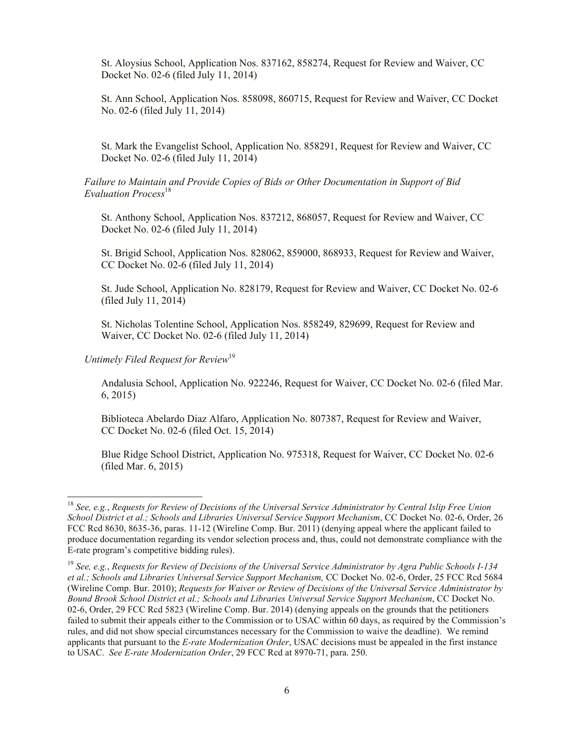St. Aloysius School, Application Nos. 837162, 858274, Request for Review and Waiver, CC Docket No. 02-6 (filed July 11, 2014)

St. Ann School, Application Nos. 858098, 860715, Request for Review and Waiver, CC Docket No. 02-6 (filed July 11, 2014)

St. Mark the Evangelist School, Application No. 858291, Request for Review and Waiver, CC Docket No. 02-6 (filed July 11, 2014)

*Failure to Maintain and Provide Copies of Bids or Other Documentation in Support of Bid Evaluation Process*<sup>18</sup>

St. Anthony School, Application Nos. 837212, 868057, Request for Review and Waiver, CC Docket No. 02-6 (filed July 11, 2014)

St. Brigid School, Application Nos. 828062, 859000, 868933, Request for Review and Waiver, CC Docket No. 02-6 (filed July 11, 2014)

St. Jude School, Application No. 828179, Request for Review and Waiver, CC Docket No. 02-6 (filed July 11, 2014)

St. Nicholas Tolentine School, Application Nos. 858249, 829699, Request for Review and Waiver, CC Docket No. 02-6 (filed July 11, 2014)

*Untimely Filed Request for Review*<sup>19</sup>

l

Andalusia School, Application No. 922246, Request for Waiver, CC Docket No. 02-6 (filed Mar. 6, 2015)

Biblioteca Abelardo Diaz Alfaro, Application No. 807387, Request for Review and Waiver, CC Docket No. 02-6 (filed Oct. 15, 2014)

Blue Ridge School District, Application No. 975318, Request for Waiver, CC Docket No. 02-6 (filed Mar. 6, 2015)

<sup>18</sup> *See, e.g.*, *Requests for Review of Decisions of the Universal Service Administrator by Central Islip Free Union School District et al.; Schools and Libraries Universal Service Support Mechanism*, CC Docket No. 02-6, Order, 26 FCC Rcd 8630, 8635-36, paras. 11-12 (Wireline Comp. Bur. 2011) (denying appeal where the applicant failed to produce documentation regarding its vendor selection process and, thus, could not demonstrate compliance with the E-rate program's competitive bidding rules).

<sup>19</sup> *See, e.g.*, *Requests for Review of Decisions of the Universal Service Administrator by Agra Public Schools I-134 et al.; Schools and Libraries Universal Service Support Mechanism,* CC Docket No. 02-6, Order, 25 FCC Rcd 5684 (Wireline Comp. Bur. 2010); *Requests for Waiver or Review of Decisions of the Universal Service Administrator by Bound Brook School District et al.; Schools and Libraries Universal Service Support Mechanism*, CC Docket No. 02-6, Order, 29 FCC Rcd 5823 (Wireline Comp. Bur. 2014) (denying appeals on the grounds that the petitioners failed to submit their appeals either to the Commission or to USAC within 60 days, as required by the Commission's rules, and did not show special circumstances necessary for the Commission to waive the deadline). We remind applicants that pursuant to the *E-rate Modernization Order*, USAC decisions must be appealed in the first instance to USAC. *See E-rate Modernization Order*, 29 FCC Rcd at 8970-71, para. 250.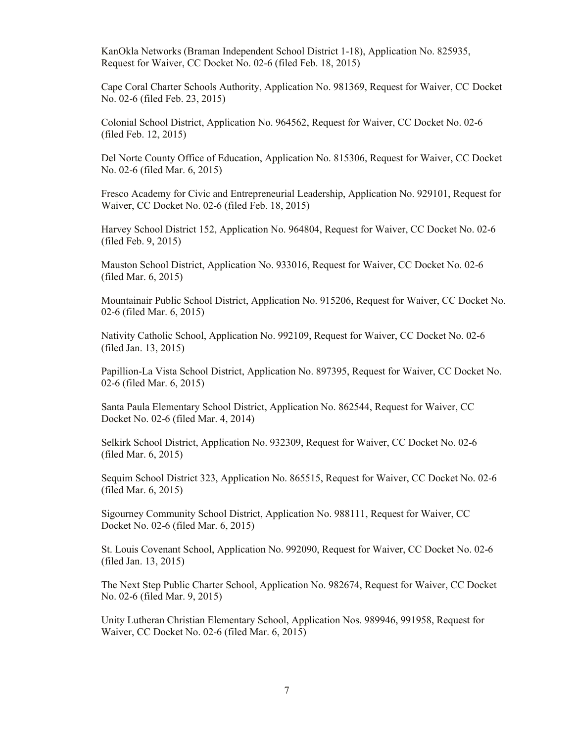KanOkla Networks (Braman Independent School District 1-18), Application No. 825935, Request for Waiver, CC Docket No. 02-6 (filed Feb. 18, 2015)

Cape Coral Charter Schools Authority, Application No. 981369, Request for Waiver, CC Docket No. 02-6 (filed Feb. 23, 2015)

Colonial School District, Application No. 964562, Request for Waiver, CC Docket No. 02-6 (filed Feb. 12, 2015)

Del Norte County Office of Education, Application No. 815306, Request for Waiver, CC Docket No. 02-6 (filed Mar. 6, 2015)

Fresco Academy for Civic and Entrepreneurial Leadership, Application No. 929101, Request for Waiver, CC Docket No. 02-6 (filed Feb. 18, 2015)

Harvey School District 152, Application No. 964804, Request for Waiver, CC Docket No. 02-6 (filed Feb. 9, 2015)

Mauston School District, Application No. 933016, Request for Waiver, CC Docket No. 02-6 (filed Mar. 6, 2015)

Mountainair Public School District, Application No. 915206, Request for Waiver, CC Docket No. 02-6 (filed Mar. 6, 2015)

Nativity Catholic School, Application No. 992109, Request for Waiver, CC Docket No. 02-6 (filed Jan. 13, 2015)

Papillion-La Vista School District, Application No. 897395, Request for Waiver, CC Docket No. 02-6 (filed Mar. 6, 2015)

Santa Paula Elementary School District, Application No. 862544, Request for Waiver, CC Docket No. 02-6 (filed Mar. 4, 2014)

Selkirk School District, Application No. 932309, Request for Waiver, CC Docket No. 02-6 (filed Mar. 6, 2015)

Sequim School District 323, Application No. 865515, Request for Waiver, CC Docket No. 02-6 (filed Mar. 6, 2015)

Sigourney Community School District, Application No. 988111, Request for Waiver, CC Docket No. 02-6 (filed Mar. 6, 2015)

St. Louis Covenant School, Application No. 992090, Request for Waiver, CC Docket No. 02-6 (filed Jan. 13, 2015)

The Next Step Public Charter School, Application No. 982674, Request for Waiver, CC Docket No. 02-6 (filed Mar. 9, 2015)

Unity Lutheran Christian Elementary School, Application Nos. 989946, 991958, Request for Waiver, CC Docket No. 02-6 (filed Mar. 6, 2015)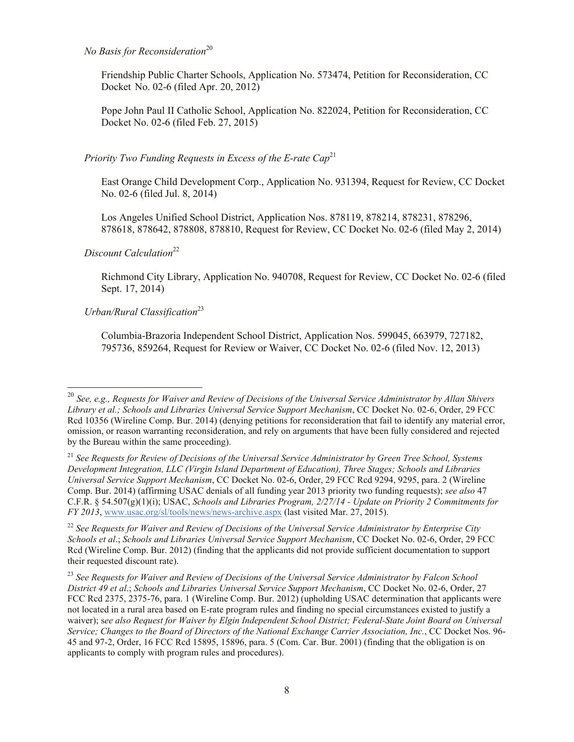### *No Basis for Reconsideration*<sup>20</sup>

Friendship Public Charter Schools, Application No. 573474, Petition for Reconsideration, CC Docket No. 02-6 (filed Apr. 20, 2012)

Pope John Paul II Catholic School, Application No. 822024, Petition for Reconsideration, CC Docket No. 02-6 (filed Feb. 27, 2015)

### *Priority Two Funding Requests in Excess of the E-rate Cap*<sup>21</sup>

East Orange Child Development Corp., Application No. 931394, Request for Review, CC Docket No. 02-6 (filed Jul. 8, 2014)

Los Angeles Unified School District, Application Nos. 878119, 878214, 878231, 878296, 878618, 878642, 878808, 878810, Request for Review, CC Docket No. 02-6 (filed May 2, 2014)

### *Discount Calculation*<sup>22</sup>

l

Richmond City Library, Application No. 940708, Request for Review, CC Docket No. 02-6 (filed Sept. 17, 2014)

# *Urban/Rural Classification*<sup>23</sup>

Columbia-Brazoria Independent School District, Application Nos. 599045, 663979, 727182, 795736, 859264, Request for Review or Waiver, CC Docket No. 02-6 (filed Nov. 12, 2013)

<sup>22</sup> *See Requests for Waiver and Review of Decisions of the Universal Service Administrator by Enterprise City Schools et al*.; *Schools and Libraries Universal Service Support Mechanism*, CC Docket No. 02-6, Order, 29 FCC Rcd (Wireline Comp. Bur. 2012) (finding that the applicants did not provide sufficient documentation to support their requested discount rate).

<sup>&</sup>lt;sup>20</sup> See, e.g., Requests for Waiver and Review of Decisions of the Universal Service Administrator by Allan Shivers *Library et al.; Schools and Libraries Universal Service Support Mechanism*, CC Docket No. 02-6, Order, 29 FCC Rcd 10356 (Wireline Comp. Bur. 2014) (denying petitions for reconsideration that fail to identify any material error, omission, or reason warranting reconsideration, and rely on arguments that have been fully considered and rejected by the Bureau within the same proceeding).

<sup>21</sup> *See Requests for Review of Decisions of the Universal Service Administrator by Green Tree School, Systems Development Integration, LLC (Virgin Island Department of Education), Three Stages; Schools and Libraries Universal Service Support Mechanism*, CC Docket No. 02-6, Order, 29 FCC Rcd 9294, 9295, para. 2 (Wireline Comp. Bur. 2014) (affirming USAC denials of all funding year 2013 priority two funding requests); *see also* 47 C.F.R. § 54.507(g)(1)(i); USAC, *Schools and Libraries Program, 2/27/14 - Update on Priority 2 Commitments for FY 2013*, www.usac.org/sl/tools/news/news-archive.aspx (last visited Mar. 27, 2015).

<sup>23</sup> *See Requests for Waiver and Review of Decisions of the Universal Service Administrator by Falcon School District 49 et al*.; *Schools and Libraries Universal Service Support Mechanism*, CC Docket No. 02-6, Order, 27 FCC Rcd 2375, 2375-76, para. 1 (Wireline Comp. Bur. 2012) (upholding USAC determination that applicants were not located in a rural area based on E-rate program rules and finding no special circumstances existed to justify a waiver); s*ee also Request for Waiver by Elgin Independent School District; Federal-State Joint Board on Universal Service; Changes to the Board of Directors of the National Exchange Carrier Association, Inc.*, CC Docket Nos. 96- 45 and 97-2, Order, 16 FCC Rcd 15895, 15896, para. 5 (Com. Car. Bur. 2001) (finding that the obligation is on applicants to comply with program rules and procedures).